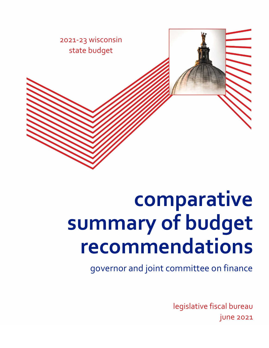

# **comparative summary of budget recommendations**

governor and joint committee on finance

legislative fiscal bureau june 2021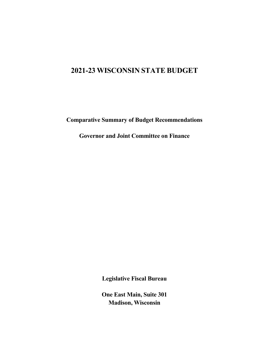# **2021-23 WISCONSIN STATE BUDGET**

**Comparative Summary of Budget Recommendations**

**Governor and Joint Committee on Finance**

**Legislative Fiscal Bureau**

**One East Main, Suite 301 Madison, Wisconsin**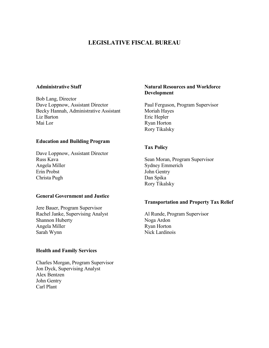## **LEGISLATIVE FISCAL BUREAU**

#### **Administrative Staff**

Bob Lang, Director Dave Loppnow, Assistant Director Becky Hannah, Administrative Assistant Liz Barton Mai Lor

#### **Education and Building Program**

Dave Loppnow, Assistant Director Russ Kava Angela Miller Erin Probst Christa Pugh

#### **General Government and Justice**

Jere Bauer, Program Supervisor Rachel Janke, Supervising Analyst Shannon Huberty Angela Miller Sarah Wynn

#### **Health and Family Services**

Charles Morgan, Program Supervisor Jon Dyck, Supervising Analyst Alex Bentzen John Gentry Carl Plant

#### **Natural Resources and Workforce Development**

Paul Ferguson, Program Supervisor Moriah Hayes Eric Hepler Ryan Horton Rory Tikalsky

#### **Tax Policy**

Sean Moran, Program Supervisor Sydney Emmerich John Gentry Dan Spika Rory Tikalsky

#### **Transportation and Property Tax Relief**

Al Runde, Program Supervisor Noga Ardon Ryan Horton Nick Lardinois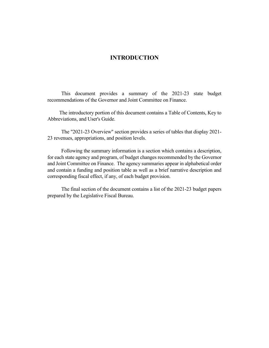#### **INTRODUCTION**

This document provides a summary of the 2021-23 state budget recommendations of the Governor and Joint Committee on Finance.

The introductory portion of this document contains a Table of Contents, Key to Abbreviations, and User's Guide.

The "2021-23 Overview" section provides a series of tables that display 2021- 23 revenues, appropriations, and position levels.

Following the summary information is a section which contains a description, for each state agency and program, of budget changes recommended by the Governor and Joint Committee on Finance. The agency summaries appear in alphabetical order and contain a funding and position table as well as a brief narrative description and corresponding fiscal effect, if any, of each budget provision.

The final section of the document contains a list of the 2021-23 budget papers prepared by the Legislative Fiscal Bureau.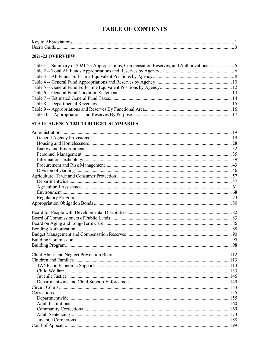## **TABLE OF CONTENTS**

## **2021-23 OVERVIEW**

#### **STATE AGENCY 2021-23 BUDGET SUMMARIES**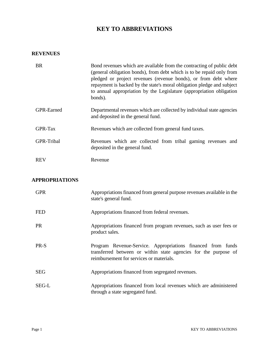## **KEY TO ABBREVIATIONS**

### **REVENUES**

| <b>BR</b>         | Bond revenues which are available from the contracting of public debt<br>(general obligation bonds), from debt which is to be repaid only from<br>pledged or project revenues (revenue bonds), or from debt where<br>repayment is backed by the state's moral obligation pledge and subject<br>to annual appropriation by the Legislature (appropriation obligation<br>bonds). |
|-------------------|--------------------------------------------------------------------------------------------------------------------------------------------------------------------------------------------------------------------------------------------------------------------------------------------------------------------------------------------------------------------------------|
| <b>GPR-Earned</b> | Departmental revenues which are collected by individual state agencies<br>and deposited in the general fund.                                                                                                                                                                                                                                                                   |
| GPR-Tax           | Revenues which are collected from general fund taxes.                                                                                                                                                                                                                                                                                                                          |
| GPR-Tribal        | Revenues which are collected from tribal gaming revenues and<br>deposited in the general fund.                                                                                                                                                                                                                                                                                 |
| REV               | Revenue                                                                                                                                                                                                                                                                                                                                                                        |

## **APPROPRIATIONS**

| <b>GPR</b> | Appropriations financed from general purpose revenues available in the<br>state's general fund.                                                                            |
|------------|----------------------------------------------------------------------------------------------------------------------------------------------------------------------------|
| <b>FED</b> | Appropriations financed from federal revenues.                                                                                                                             |
| <b>PR</b>  | Appropriations financed from program revenues, such as user fees or<br>product sales.                                                                                      |
| PR-S       | Program Revenue-Service. Appropriations financed from funds<br>transferred between or within state agencies for the purpose of<br>reimbursement for services or materials. |
| <b>SEG</b> | Appropriations financed from segregated revenues.                                                                                                                          |
| SEG-L      | Appropriations financed from local revenues which are administered<br>through a state segregated fund.                                                                     |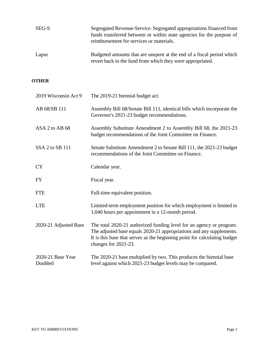| SEG-S | Segregated Revenue-Service. Segregated appropriations financed from<br>funds transferred between or within state agencies for the purpose of<br>reimbursement for services or materials. |
|-------|------------------------------------------------------------------------------------------------------------------------------------------------------------------------------------------|
| Lapse | Budgeted amounts that are unspent at the end of a fiscal period which                                                                                                                    |

revert back to the fund from which they were appropriated.

#### **OTHER**

| 2019 Wisconsin Act 9         | The 2019-21 biennial budget act.                                                                                                                                                                                                                  |
|------------------------------|---------------------------------------------------------------------------------------------------------------------------------------------------------------------------------------------------------------------------------------------------|
| AB 68/SB 111                 | Assembly Bill 68/Senate Bill 111, identical bills which incorporate the<br>Governor's 2021-23 budget recommendations.                                                                                                                             |
| ASA 2 to AB 68               | Assembly Substitute Amendment 2 to Assembly Bill 68, the 2021-23<br>budget recommendations of the Joint Committee on Finance.                                                                                                                     |
| SSA 2 to SB 111              | Senate Substitute Amendment 2 to Senate Bill 111, the 2021-23 budget<br>recommendations of the Joint Committee on Finance.                                                                                                                        |
| <b>CY</b>                    | Calendar year.                                                                                                                                                                                                                                    |
| <b>FY</b>                    | Fiscal year.                                                                                                                                                                                                                                      |
| <b>FTE</b>                   | Full-time equivalent position.                                                                                                                                                                                                                    |
| <b>LTE</b>                   | Limited-term employment position for which employment is limited to<br>1,040 hours per appointment in a 12-month period.                                                                                                                          |
| 2020-21 Adjusted Base        | The total 2020-21 authorized funding level for an agency or program.<br>The adjusted base equals 2020-21 appropriations and any supplements.<br>It is this base that serves as the beginning point for calculating budget<br>changes for 2021-23. |
| 2020-21 Base Year<br>Doubled | The 2020-21 base multiplied by two. This produces the biennial base<br>level against which 2021-23 budget levels may be compared.                                                                                                                 |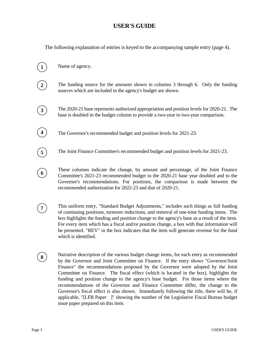## **USER'S GUIDE**

The following explanation of entries is keyed to the accompanying sample entry (page 4).

- Name of agency. The funding source for the amounts shown in columns 3 through 6. Only the funding sources which are included in the agency's budget are shown. The 2020-21 base represents authorized appropriation and position levels for 2020-21. The base is doubled in the budget column to provide a two-year to two-year comparison. The Governor's recommended budget and position levels for 2021-23. **3 4**
	- The Joint Finance Committee's recommended budget and position levels for 2021-23.
	- These columns indicate the change, by amount and percentage, of the Joint Finance Committee's 2021-23 recommended budget to the 2020-21 base year doubled and to the Governor's recommendations. For positions, the comparison is made between the recommended authorization for 2022-23 and that of 2020-21.
	- This uniform entry, "Standard Budget Adjustments," includes such things as full funding of continuing positions, turnover reductions, and removal of one-time funding items. The box highlights the funding and position change to the agency's base as a result of the item. For every item which has a fiscal and/or position change, a box with that information will be presented. "REV" in the box indicates that the item will generate revenue for the fund which is identified.
- Narrative description of the various budget change items, for each entry as recommended by the Governor and Joint Committee on Finance. If the entry shows "Governor/Joint Finance" the recommendations proposed by the Governor were adopted by the Joint Committee on Finance. The fiscal effect (which is located in the box), highlights the funding and position change to the agency's base budget. For those items where the recommendations of the Governor and Finance Committee differ, the change to the Governor's fiscal effect is also shown. Immediately following the title, there will be, if applicable, "[LFB Paper ]" showing the number of the Legislative Fiscal Bureau budget issue paper prepared on this item. **8**

**1**

**2**

**7**

**5**

**6**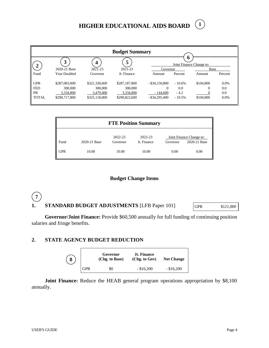# **HIGHER EDUCATIONAL AIDS BOARD**

**1**



|      |              |                     | <b>FTE Position Summary</b> |          |                                          |
|------|--------------|---------------------|-----------------------------|----------|------------------------------------------|
| Fund | 2020-21 Base | 2022-23<br>Governor | 2022-23<br>Jt. Finance      | Governor | Joint Finance Change to:<br>2020-21 Base |
| GPR  | 10.00        | 10.00               | 10.00                       | 0.00     | 0.00                                     |

#### **Budget Change Items**

#### 1. **STANDARD BUDGET ADJUSTMENTS** [LFB Paper 101] GPR \$121,000 **7**

**Governor/Joint Finance:** Provide \$60,500 annually for full funding of continuing position salaries and fringe benefits.

#### **2. STATE AGENCY BUDGET REDUCTION**

| $\left( \, 8 \right)$ |            | Governor<br>(Chg. to Base) | <b>Jt. Finance</b><br>(Chg. to Gov) | <b>Net Change</b> |
|-----------------------|------------|----------------------------|-------------------------------------|-------------------|
|                       | <b>GPR</b> | \$0                        | $-$ \$16,200                        | $-$ \$16,200      |

**Joint Finance:** Reduce the HEAB general program operations appropriation by \$8,100 annually.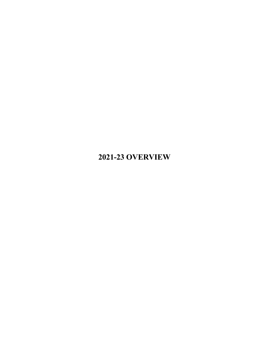# **2021-23 OVERVIEW**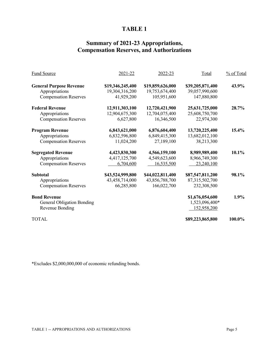# **Summary of 2021-23 Appropriations, Compensation Reserves, and Authorizations**

| Fund Source                                    | 2021-22                      | 2022-23                            | Total                              | % of Total |
|------------------------------------------------|------------------------------|------------------------------------|------------------------------------|------------|
| <b>General Purpose Revenue</b>                 | \$19,346,245,400             | \$19,859,626,000<br>19,753,674,400 | \$39,205,871,400<br>39,057,990,600 | 43.9%      |
| Appropriations<br><b>Compensation Reserves</b> | 19,304,316,200<br>41,929,200 | 105,951,600                        | 147,880,800                        |            |
| <b>Federal Revenue</b>                         | 12,911,303,100               | 12,720,421,900                     | 25,631,725,000                     | 28.7%      |
| Appropriations                                 | 12,904,675,300               | 12,704,075,400                     | 25,608,750,700                     |            |
| <b>Compensation Reserves</b>                   | 6,627,800                    | 16,346,500                         | 22,974,300                         |            |
| <b>Program Revenue</b>                         | 6,843,621,000                | 6,876,604,400                      | 13,720,225,400                     | 15.4%      |
| Appropriations                                 | 6,832,596,800                | 6,849,415,300                      | 13,682,012,100                     |            |
| <b>Compensation Reserves</b>                   | 11,024,200                   | 27,189,100                         | 38,213,300                         |            |
| <b>Segregated Revenue</b>                      | 4,423,830,300                | 4,566,159,100                      | 8,989,989,400                      | $10.1\%$   |
| Appropriations                                 | 4,417,125,700                | 4,549,623,600                      | 8,966,749,300                      |            |
| <b>Compensation Reserves</b>                   | 6,704,600                    | 16,535,500                         | 23,240,100                         |            |
| <b>Subtotal</b>                                | \$43,524,999,800             | \$44,022,811,400                   | \$87,547,811,200                   | 98.1%      |
| Appropriations                                 | 43,458,714,000               | 43,856,788,700                     | 87,315,502,700                     |            |
| <b>Compensation Reserves</b>                   | 66,285,800                   | 166,022,700                        | 232,308,500                        |            |
| <b>Bond Revenue</b>                            |                              |                                    | \$1,676,054,600                    | 1.9%       |
| <b>General Obligation Bonding</b>              |                              |                                    | 1,523,096,400*                     |            |
| Revenue Bonding                                |                              |                                    | 152,958,200                        |            |
| <b>TOTAL</b>                                   |                              |                                    | \$89,223,865,800                   | 100.0%     |

\*Excludes \$2,000,000,000 of economic refunding bonds.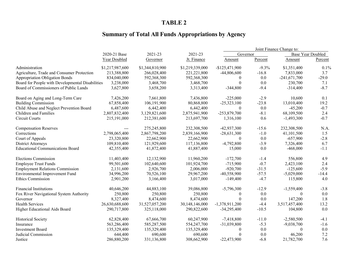# **Summary of Total All Funds Appropriations by Agency**

|                                                  |                                    |                 |                 |                                      |         | Joint Finance Change to: |         |
|--------------------------------------------------|------------------------------------|-----------------|-----------------|--------------------------------------|---------|--------------------------|---------|
|                                                  | 2020-21 Base<br>2021-23<br>2021-23 |                 |                 | <b>Base Year Doubled</b><br>Governor |         |                          |         |
|                                                  | <b>Year Doubled</b>                | Governor        | Jt. Finance     | Amount                               | Percent | Amount                   | Percent |
| Administration                                   | \$1,217,987,600                    | \$1,344,810,900 | \$1,219,339,000 | $-$125,471,900$                      | $-9.3%$ | \$1,351,400              | 0.1%    |
| Agriculture, Trade and Consumer Protection       | 213,388,800                        | 266,028,400     | 221,221,800     | $-44,806,600$                        | $-16.8$ | 7,833,000                | 3.7     |
| <b>Appropriation Obligation Bonds</b>            | 834,040,000                        | 592,368,300     | 592,368,300     | $\theta$                             | 0.0     | $-241,671,700$           | $-29.0$ |
| Board for People with Developmental Disabilities | 3,238,000                          | 3,468,700       | 3,468,700       | $\theta$                             | 0.0     | 230,700                  | 7.1     |
| Board of Commissioners of Public Lands           | 3,627,800                          | 3,658,200       | 3,313,400       | $-344,800$                           | $-9.4$  | $-314,400$               | $-8.7$  |
| Board on Aging and Long-Term Care                | 7,426,200                          | 7,661,800       | 7,436,800       | $-225,000$                           | $-2.9$  | 10,600                   | 0.1     |
| <b>Building Commission</b>                       | 67,858,400                         | 106,191,900     | 80,868,800      | $-25,323,100$                        | $-23.8$ | 13,010,400               | 19.2    |
| Child Abuse and Neglect Prevention Board         | 6,487,600                          | 6,442,400       | 6,442,400       | $\theta$                             | 0.0     | $-45,200$                | $-0.7$  |
| Children and Families                            | 2,807,832,400                      | 3,129,821,600   | 2,875,941,900   | $-253,879,700$                       | $-8.1$  | 68,109,500               | 2.4     |
| Circuit Courts                                   | 215,191,000                        | 212,381,600     | 213,697,700     | 1,316,100                            | 0.6     | $-1,493,300$             | $-0.7$  |
| <b>Compensation Reserves</b>                     | ---                                | 275,245,800     | 232,308,500     | $-42,937,300$                        | $-15.6$ | 232,308,500              | N.A.    |
| Corrections                                      | 2,798,065,400                      | 2,867,798,200   | 2,839,166,900   | $-28,631,300$                        | $-1.0$  | 41,101,500               | 1.5     |
| Court of Appeals                                 | 23,320,800                         | 22,662,900      | 22,662,900      | $\Omega$                             | 0.0     | $-657,900$               | $-2.8$  |
| <b>District Attorneys</b>                        | 109,810,400                        | 121,929,600     | 117,136,800     | $-4,792,800$                         | $-3.9$  | 7,326,400                | 6.7     |
| <b>Educational Communications Board</b>          | 42,355,400                         | 41,872,400      | 41,887,400      | 15,000                               | 0.0     | $-468,000$               | $-1.1$  |
| <b>Elections Commission</b>                      | 11,403,400                         | 12,132,900      | 11,960,200      | $-172,700$                           | $-1.4$  | 556,800                  | 4.9     |
| <b>Employee Trust Funds</b>                      | 99,501,600                         | 102,640,600     | 101,924,700     | $-715,900$                           | $-0.7$  | 2,423,100                | 2.4     |
| <b>Employment Relations Commission</b>           | 2,131,600                          | 2,926,700       | 2,006,000       | $-920,700$                           | $-31.5$ | $-125,600$               | $-5.9$  |
| Environmental Improvement Fund                   | 34,996,200                         | 70,526,100      | 29,967,200      | $-40,558,900$                        | $-57.5$ | $-5,029,000$             | $-14.4$ |
| <b>Ethics Commission</b>                         | 2,901,200                          | 3,166,400       | 3,017,000       | $-149,400$                           | $-4.7$  | 115,800                  | 4.0     |
| <b>Financial Institutions</b>                    | 40,646,200                         | 44,883,100      | 39,086,800      | $-5,796,300$                         | $-12.9$ | $-1,559,400$             | $-3.8$  |
| Fox River Navigational System Authority          | 250,800                            | 250,800         | 250,800         | $\bf{0}$                             | 0.0     | $\theta$                 | 0.0     |
| Governor                                         | 8,327,400                          | 8,474,600       | 8,474,600       | $\Omega$                             | 0.0     | 147,200                  | 1.8     |
| <b>Health Services</b>                           | 26,630,688,600                     | 31,527,057,200  | 30,148,146,000  | $-1,378,911,200$                     | $-4.4$  | 3,517,457,400            | 13.2    |
| Higher Educational Aids Board                    | 290,717,800                        | 325,118,000     | 290,822,600     | $-34,295,400$                        | $-10.5$ | 104,800                  | 0.0     |
| <b>Historical Society</b>                        | 62,828,400                         | 67,666,700      | 60,247,900      | $-7,418,800$                         | $-11.0$ | $-2,580,500$             | $-4.1$  |
| Insurance                                        | 563,286,400                        | 585,287,500     | 554,247,700     | $-31,039,800$                        | $-5.3$  | $-9,038,700$             | $-1.6$  |
| <b>Investment Board</b>                          | 135,329,400                        | 135,329,400     | 135,329,400     | $\theta$                             | 0.0     | $\theta$                 | 0.0     |
| Judicial Commission                              | 644,400                            | 690,600         | 690,600         | $\Omega$                             | 0.0     | 46,200                   | 7.2     |
| Justice                                          | 286,880,200                        | 331,136,800     | 308,662,900     | $-22,473,900$                        | $-6.8$  | 21,782,700               | 7.6     |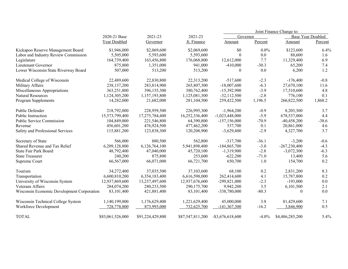|                                            |                                    |                  |                  |                     |          | Joint Finance Change to: |         |
|--------------------------------------------|------------------------------------|------------------|------------------|---------------------|----------|--------------------------|---------|
|                                            | 2021-23<br>2020-21 Base<br>2021-23 |                  |                  | Governor            |          | <b>Base Year Doubled</b> |         |
|                                            | Year Doubled                       | Governor         | Jt. Finance      | Amount              | Percent  | Amount                   | Percent |
| Kickapoo Reserve Management Board          | \$1,946,000                        | \$2,069,600      | \$2,069,600      | \$0                 | $0.0\%$  | \$123,600                | 6.4%    |
| Labor and Industry Review Commission       | 5,505,000                          | 5,593,600        | 5,593,600        | $\theta$            | $0.0\,$  | 88,600                   | 1.6     |
| Legislature                                | 164,739,400                        | 163,456,800      | 176,068,800      | 12,612,000          | 7.7      | 11,329,400               | 6.9     |
| Lieutenant Governor                        | 875,800                            | 1,351,000        | 941,000          | $-410,000$          | $-30.3$  | 65,200                   | 7.4     |
| Lower Wisconsin State Riverway Board       | 507,000                            | 513,200          | 513,200          | $\mathbf{0}$        | 0.0      | 6,200                    | 1.2     |
| Medical College of Wisconsin               | 22,489,600                         | 22,830,800       | 22,313,200       | $-517,600$          | $-2.3$   | $-176,400$               | $-0.8$  |
| Military Affairs                           | 238,137,200                        | 283,814,900      | 265,807,300      | $-18,007,600$       | $-6.3$   | 27,670,100               | 11.6    |
| Miscellaneous Appropriations               | 363,251,800                        | 396,155,300      | 380,762,400      | $-15,392,900$       | $-3.9$   | 17,510,600               | 4.8     |
| <b>Natural Resources</b>                   | 1,124,305,200                      | 1,157,193,800    | 1,125,081,300    | $-32,112,500$       | $-2.8$   | 776,100                  | 0.1     |
| Program Supplements                        | 14,282,000                         | 21,682,000       | 281,104,500      | 259,422,500         | 1,196.5  | 266,822,500              | 1,868.2 |
| Public Defender                            | 218,792,000                        | 228,959,500      | 226,995,300      | $-1,964,200$        | $-0.9$   | 8,203,300                | 3.7     |
| Public Instruction                         | 15,573,799,400                     | 17,275,784,400   | 16,252,336,400   | $-1,023,448,000$    | $-5.9$   | 678,537,000              | 4.4     |
| Public Service Commission                  | 104,849,000                        | 221,546,800      | 64,390,800       | $-157, 156, 000$    | $-70.9$  | $-40,458,200$            | $-38.6$ |
| Revenue                                    | 456,601,200                        | 476,924,500      | 477,462,200      | 537,700             | 0.1      | 20,861,000               | 4.6     |
| Safety and Professional Services           | 115,881,200                        | 123,838,300      | 120,208,900      | $-3,629,400$        | $-2.9$   | 4,327,700                | 3.7     |
| Secretary of State                         | 566,000                            | 880,500          | 562,800          | $-317,700$          | $-36.1$  | $-3,200$                 | $-0.6$  |
| Shared Revenue and Tax Relief              | 6,209,128,800                      | 6,126,764,100    | 5,941,898,400    | $-184,865,700$      | $-3.0$   | $-267,230,400$           | $-4.3$  |
| State Fair Park Board                      | 48,792,400                         | 47,040,000       | 45,720,100       | $-1,319,900$        | $-2.8$   | $-3,072,300$             | $-6.3$  |
| <b>State Treasurer</b>                     | 240,200                            | 875,800          | 253,600          | $-622,200$          | $-71.0$  | 13,400                   | 5.6     |
| Supreme Court                              | 66,567,000                         | 66,071,000       | 66,721,700       | 650,700             | 1.0      | 154,700                  | 0.2     |
| Tourism                                    | 34,272,400                         | 37,035,500       | 37,103,600       | 68,100              | 0.2      | 2,831,200                | 8.3     |
| Transportation                             | 6,600,810,200                      | 6,354,183,400    | 6,616,598,000    | 262,414,600         | 4.1      | 15,787,800               | 0.2     |
| University of Wisconsin System             | 12,937,869,600                     | 13,237,497,600   | 12,937,676,600   | -299,821,000        | $-2.3$   | $-193,000$               | 0.0     |
| Veterans Affairs                           | 284,074,200                        | 280,233,500      | 290,175,700      | 9,942,200           | 3.5      | 6,101,500                | 2.1     |
| Wisconsin Economic Development Corporation | 83,101,400                         | 421,881,400      | 83,101,400       | -338,780,000        | $-80.3$  | $\theta$                 | 0.0     |
| Wisconsin Technical College System         | 1,140,199,800                      | 1,176,629,400    | 1,221,629,400    | 45,000,000          | 3.8      | 81,429,600               | 7.1     |
| Workforce Development                      | 728,778,800                        | 873,993,000      | 732,625,700      | $-141,367,300$      | $-16.2$  | 3,846,900                | 0.5     |
| <b>TOTAL</b>                               | \$83,061,526,000                   | \$91,224,429,800 | \$87,547,811,200 | $-$ \$3,676,618,600 | $-4.0\%$ | \$4,486,285,200          | 5.4%    |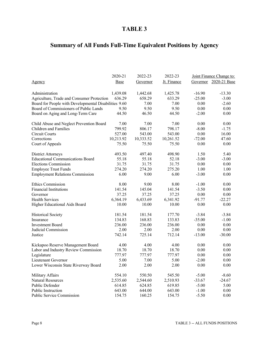# **Summary of All Funds Full-Time Equivalent Positions by Agency**

|                                                       | 2020-21   | 2022-23   | 2022-23     |          | Joint Finance Change to: |
|-------------------------------------------------------|-----------|-----------|-------------|----------|--------------------------|
| Agency                                                | Base      | Governor  | Jt. Finance |          | Governor 2020-21 Base    |
|                                                       |           |           |             |          |                          |
| Administration                                        | 1,439.08  | 1,442.68  | 1,425.78    | $-16.90$ | $-13.30$                 |
| Agriculture, Trade and Consumer Protection            | 636.29    | 658.29    | 633.29      | $-25.00$ | $-3.00$                  |
| Board for People with Developmental Disabilities 9.60 |           | 7.00      | 7.00        | 0.00     | $-2.60$                  |
| Board of Commissioners of Public Lands                | 9.50      | 9.50      | 9.50        | 0.00     | 0.00                     |
| Board on Aging and Long-Term Care                     | 44.50     | 46.50     | 44.50       | $-2.00$  | 0.00                     |
| Child Abuse and Neglect Prevention Board              | 7.00      | 7.00      | 7.00        | 0.00     | 0.00                     |
| <b>Children</b> and Families                          | 799.92    | 806.17    | 798.17      | $-8.00$  | $-1.75$                  |
| Circuit Courts                                        | 527.00    | 543.00    | 543.00      | 0.00     | 16.00                    |
| Corrections                                           | 10,213.92 | 10,333.52 | 10,261.52   | $-72.00$ | 47.60                    |
| Court of Appeals                                      | 75.50     | 75.50     | 75.50       | 0.00     | 0.00                     |
| District Attorneys                                    | 493.50    | 497.40    | 498.90      | 1.50     | 5.40                     |
| <b>Educational Communications Board</b>               | 55.18     | 55.18     | 52.18       | $-3.00$  | $-3.00$                  |
| <b>Elections Commission</b>                           | 31.75     | 31.75     | 31.75       | 0.00     | 0.00                     |
| <b>Employee Trust Funds</b>                           | 274.20    | 274.20    | 275.20      | 1.00     | 1.00                     |
| <b>Employment Relations Commission</b>                | 6.00      | 9.00      | 6.00        | $-3.00$  | 0.00                     |
| <b>Ethics Commission</b>                              | 8.00      | 9.00      | 8.00        | $-1.00$  | 0.00                     |
| <b>Financial Institutions</b>                         | 141.54    | 145.04    | 141.54      | $-3.50$  | 0.00                     |
| Governor                                              | 37.25     | 37.25     | 37.25       | 0.00     | 0.00                     |
| <b>Health Services</b>                                | 6,364.19  | 6,433.69  | 6,341.92    | $-91.77$ | $-22.27$                 |
|                                                       | 10.00     | 10.00     | 10.00       | 0.00     | 0.00                     |
| Higher Educational Aids Board                         |           |           |             |          |                          |
| <b>Historical Society</b>                             | 181.54    | 181.54    | 177.70      | $-3.84$  | $-3.84$                  |
| Insurance                                             | 134.83    | 168.83    | 133.83      | $-35.00$ | $-1.00$                  |
| <b>Investment Board</b>                               | 236.00    | 236.00    | 236.00      | 0.00     | 0.00                     |
| Judicial Commission                                   | 2.00      | 2.00      | 2.00        | 0.00     | 0.00                     |
| Justice                                               | 742.14    | 725.14    | 712.14      | $-13.00$ | $-30.00$                 |
| Kickapoo Reserve Management Board                     | 4.00      | 4.00      | 4.00        | 0.00     | 0.00                     |
| Labor and Industry Review Commission                  | 18.70     | 18.70     | 18.70       | 0.00     | 0.00                     |
| Legislature                                           | 777.97    | 777.97    | 777.97      | 0.00     | 0.00                     |
| Lieutenant Governor                                   | 5.00      | 7.00      | 5.00        | $-2.00$  | 0.00                     |
| Lower Wisconsin State Riverway Board                  | 2.00      | 2.00      | 2.00        | 0.00     | 0.00                     |
| Military Affairs                                      | 554.10    | 550.50    | 545.50      | $-5.00$  | $-8.60$                  |
| <b>Natural Resources</b>                              | 2,535.60  | 2,544.60  | 2,510.93    | $-33.67$ | $-24.67$                 |
| Public Defender                                       | 614.85    | 624.85    | 619.85      | $-5.00$  | 5.00                     |
| Public Instruction                                    | 643.00    | 644.00    | 643.00      | $-1.00$  | 0.00                     |
| <b>Public Service Commission</b>                      | 154.75    | 160.25    | 154.75      | $-5.50$  | 0.00                     |
|                                                       |           |           |             |          |                          |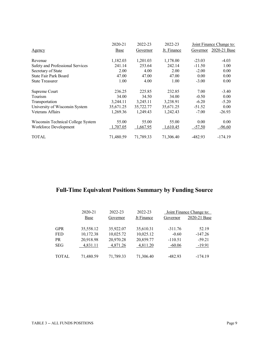|                                    | 2020-21     | 2022-23   | 2022-23     |          | Joint Finance Change to: |
|------------------------------------|-------------|-----------|-------------|----------|--------------------------|
| <u>Agency</u>                      | <b>Base</b> | Governor  | Jt. Finance | Governor | 2020-21 Base             |
| Revenue                            | 1,182.03    | 1,201.03  | 1,178.00    | $-23.03$ | $-4.03$                  |
| Safety and Professional Services   | 241.14      | 253.64    | 242.14      | $-11.50$ | 1.00                     |
| Secretary of State                 | 2.00        | 4.00      | 2.00        | $-2.00$  | 0.00                     |
| <b>State Fair Park Board</b>       | 47.00       | 47.00     | 47.00       | 0.00     | 0.00                     |
| <b>State Treasurer</b>             | 1.00        | 4.00      | 1.00        | $-3.00$  | 0.00                     |
| Supreme Court                      | 236.25      | 225.85    | 232.85      | 7.00     | $-3.40$                  |
| Tourism                            | 34.00       | 34.50     | 34.00       | $-0.50$  | 0.00                     |
| Transportation                     | 3,244.11    | 3,245.11  | 3,238.91    | $-6.20$  | $-5.20$                  |
| University of Wisconsin System     | 35,671.25   | 35,722.77 | 35,671.25   | $-51.52$ | 0.00                     |
| Veterans Affairs                   | 1,269.36    | 1,249.43  | 1,242.43    | $-7.00$  | $-26.93$                 |
| Wisconsin Technical College System | 55.00       | 55.00     | 55.00       | 0.00     | 0.00                     |
| Workforce Development              | 1,707.05    | 1,667.95  | 1,610.45    | $-57.50$ | $-96.60$                 |
| <b>TOTAL</b>                       | 71,480.59   | 71,789.33 | 71,306.40   | -482.93  | $-174.19$                |
|                                    |             |           |             |          |                          |

# **Full-Time Equivalent Positions Summary by Funding Source**

|              | 2020-21   | 2022-23   | 2022-23    |           | Joint Finance Change to: |
|--------------|-----------|-----------|------------|-----------|--------------------------|
|              | Base      | Governor  | Jt Finance | Governor  | 2020-21 Base             |
|              |           |           |            |           |                          |
| <b>GPR</b>   | 35,558.12 | 35,922.07 | 35,610.31  | $-311.76$ | 52.19                    |
| <b>FED</b>   | 10,172.38 | 10,025.72 | 10,025.12  | $-0.60$   | $-147.26$                |
| <b>PR</b>    | 20,918.98 | 20,970.28 | 20,859.77  | $-110.51$ | $-59.21$                 |
| <b>SEG</b>   | 4,831.11  | 4,871.26  | 4,811.20   | $-60.06$  | $-19.91$                 |
| <b>TOTAL</b> | 71,480.59 | 71,789.33 | 71,306.40  | $-482.93$ | $-174.19$                |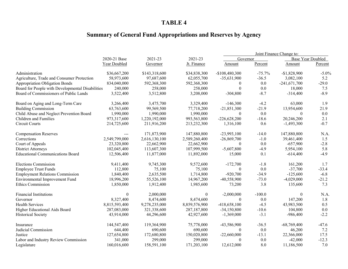# **Summary of General Fund Appropriations and Reserves by Agency**

|                                                  |                  |               |                |                 |          | Joint Finance Change to: |                          |
|--------------------------------------------------|------------------|---------------|----------------|-----------------|----------|--------------------------|--------------------------|
|                                                  | 2020-21 Base     | 2021-23       | 2021-23        |                 | Governor |                          | <b>Base Year Doubled</b> |
|                                                  | Year Doubled     | Governor      | Jt. Finance    | Amount          | Percent  | Amount                   | Percent                  |
| Administration                                   | \$36,667,200     | \$143,318,600 | \$34,838,300   | $-$108,480,300$ | $-75.7%$ | $-$1,828,900$            | $-5.0\%$                 |
| Agriculture, Trade and Consumer Protection       | 58,973,600       | 97,687,600    | 62,055,700     | $-35,631,900$   | $-36.5$  | 3,082,100                | 5.2                      |
| <b>Appropriation Obligation Bonds</b>            | 834,040,000      | 592,368,300   | 592,368,300    | $\theta$        | 0.0      | $-241,671,700$           | $-29.0$                  |
| Board for People with Developmental Disabilities | 240,000          | 258,000       | 258,000        | $\theta$        | 0.0      | 18,000                   | 7.5                      |
| Board of Commissioners of Public Lands           | 3,522,400        | 3,512,800     | 3,208,000      | $-304,800$      | $-8.7$   | $-314,400$               | $-8.9$                   |
| Board on Aging and Long-Term Care                | 3,266,400        | 3,475,700     | 3,329,400      | $-146,300$      | $-4.2$   | 63,000                   | 1.9                      |
| <b>Building Commission</b>                       | 63,763,600       | 99,569,500    | 77,718,200     | $-21,851,300$   | $-21.9$  | 13,954,600               | 21.9                     |
| Child Abuse and Neglect Prevention Board         | 1,990,000        | 1,990,000     | 1,990,000      | $\theta$        | 0.0      | $\theta$                 | 0.0                      |
| Children and Families                            | 973,317,600      | 1,220,192,000 | 993,563,800    | $-226,628,200$  | $-18.6$  | 20,246,200               | 2.1                      |
| Circuit Courts                                   | 214,725,600      | 211,916,200   | 213,232,300    | 1,316,100       | 0.6      | $-1,493,300$             | $-0.7$                   |
| <b>Compensation Reserves</b>                     | ---              | 171,873,900   | 147,880,800    | $-23,993,100$   | $-14.0$  | 147,880,800              | N.A.                     |
| Corrections                                      | 2,549,799,000    | 2,616,130,100 | 2,589,260,400  | $-26,869,700$   | $-1.0$   | 39,461,400               | 1.5                      |
| Court of Appeals                                 | 23,320,800       | 22,662,900    | 22,662,900     | $\theta$        | 0.0      | $-657,900$               | $-2.8$                   |
| <b>District Attorneys</b>                        | 102,045,400      | 113,607,300   | 107,999,500    | $-5,607,800$    | $-4.9$   | 5,954,100                | 5.8                      |
| <b>Educational Communications Board</b>          | 12,506,400       | 11,877,000    | 11,892,000     | 15,000          | 0.1      | $-614,400$               | $-4.9$                   |
| <b>Elections Commission</b>                      | 9,411,400        | 9,745,300     | 9,572,600      | $-172,700$      | $-1.8$   | 161,200                  | 1.7                      |
| <b>Employee Trust Funds</b>                      | 112,800          | 75,100        | 75,100         | $\theta$        | 0.0      | $-37,700$                | $-33.4$                  |
| <b>Employment Relations Commission</b>           | 1,840,400        | 2,635,500     | 1,714,800      | $-920,700$      | $-34.9$  | $-125,600$               | $-6.8$                   |
| Environmental Improvement Fund                   | 18,996,200       | 55,526,100    | 14,967,200     | $-40,558,900$   | $-73.0$  | $-4,029,000$             | $-21.2$                  |
| <b>Ethics Commission</b>                         | 1,850,000        | 1,912,400     | 1,985,600      | 73,200          | 3.8      | 135,600                  | 7.3                      |
| <b>Financial Institutions</b>                    | $\boldsymbol{0}$ | 2,000,000     | $\overline{0}$ | $-2,000,000$    | $-100.0$ | $\boldsymbol{0}$         | N.A.                     |
| Governor                                         | 8,327,400        | 8,474,600     | 8,474,600      | $\theta$        | 0.0      | 147,200                  | 1.8                      |
| <b>Health Services</b>                           | 8,815,593,400    | 9,278,235,000 | 8,859,576,900  | $-418,658,100$  | $-4.5$   | 43,983,500               | 0.5                      |
| Higher Educational Aids Board                    | 287,083,000      | 321,338,600   | 287,187,800    | $-34,150,800$   | $-10.6$  | 104,800                  | 0.0                      |
| <b>Historical Society</b>                        | 43,914,000       | 44,296,600    | 42,927,600     | $-1,369,000$    | $-3.1$   | $-986,400$               | $-2.2$                   |
| Insurance                                        | 144,547,400      | 119,364,900   | 75,778,000     | -43,586,900     | $-36.5$  | $-68,769,400$            | $-47.6$                  |
| Judicial Commission                              | 644,400          | 690,600       | 690,600        | $\theta$        | 0.0      | 46,200                   | 7.2                      |
| Justice                                          | 127,654,800      | 172,680,800   | 150,020,800    | $-22,660,000$   | $-13.1$  | 22,366,000               | 17.5                     |
| Labor and Industry Review Commission             | 341,000          | 299,000       | 299,000        | $\theta$        | 0.0      | $-42,000$                | $-12.3$                  |
| Legislature                                      | 160,016,600      | 158,591,100   | 171,203,100    | 12,612,000      | 8.0      | 11,186,500               | 7.0                      |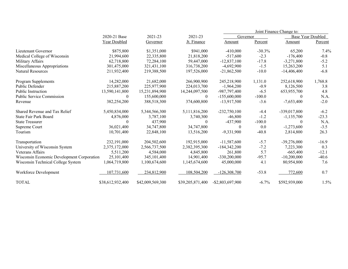|                                            |                  |                  |                  |                     |          | Joint Finance Change to: |                   |
|--------------------------------------------|------------------|------------------|------------------|---------------------|----------|--------------------------|-------------------|
|                                            | 2020-21 Base     | $2021 - 23$      | $2021 - 23$      | Governor            |          |                          | Base Year Doubled |
|                                            | Year Doubled     | Governor         | Jt. Finance      | Amount              | Percent  | Amount                   | Percent           |
| Lieutenant Governor                        | \$875,800        | \$1,351,000      | \$941,000        | $-410,000$          | $-30.3%$ | 65,200                   | 7.4%              |
| Medical College of Wisconsin               | 21,994,600       | 22,335,800       | 21,818,200       | $-517,600$          | $-2.3$   | $-176,400$               | $-0.8$            |
| Military Affairs                           | 62,718,800       | 72,284,100       | 59,447,000       | $-12,837,100$       | $-17.8$  | $-3,271,800$             | $-5.2$            |
| Miscellaneous Appropriations               | 301,475,000      | 321,431,100      | 316,738,200      | $-4,692,900$        | $-1.5$   | 15,263,200               | 5.1               |
| <b>Natural Resources</b>                   | 211,932,400      | 219,388,500      | 197,526,000      | $-21,862,500$       | $-10.0$  | $-14,406,400$            | $-6.8$            |
| Program Supplements                        | 14,282,000       | 21,682,000       | 266,900,900      | 245,218,900         | 1,131.0  | 252,618,900              | 1,768.8           |
| Public Defender                            | 215,887,200      | 225,977,900      | 224,013,700      | $-1,964,200$        | $-0.9$   | 8,126,500                | 3.8               |
| Public Instruction                         | 13,590,141,800   | 15,231,894,900   | 14,244,097,500   | -987,797,400        | $-6.5$   | 653,955,700              | 4.8               |
| <b>Public Service Commission</b>           | $\theta$         | 155,600,000      | $\theta$         | $-155,600,000$      | $-100.0$ | $\theta$                 | N.A.              |
| Revenue                                    | 382,254,200      | 388,518,300      | 374,600,800      | $-13,917,500$       | $-3.6$   | $-7,653,400$             | $-2.0$            |
| Shared Revenue and Tax Relief              | 5,450,834,000    | 5,344,566,300    | 5,111,816,200    | $-232,750,100$      | $-4.4$   | $-339,017,800$           | $-6.2$            |
| <b>State Fair Park Board</b>               | 4,876,000        | 3,787,100        | 3,740,300        | $-46,800$           | $-1.2$   | $-1,135,700$             | $-23.3$           |
| <b>State Treasurer</b>                     |                  | 437,900          | $\theta$         | $-437,900$          | $-100.0$ | $\Omega$                 | N.A.              |
| Supreme Court                              | 36,021,400       | 34,747,800       | 34,747,800       | $\Omega$            | 0.0      | $-1,273,600$             | $-3.5$            |
| Tourism                                    | 10,701,400       | 22,848,100       | 13,516,200       | $-9,331,900$        | $-40.8$  | 2,814,800                | 26.3              |
| Transportation                             | 232,191,000      | 204,502,600      | 192,915,000      | $-11,587,600$       | $-5.7$   | $-39,276,000$            | $-16.9$           |
| University of Wisconsin System             | 2,375,172,000    | 2,566,737,500    | 2,382,395,300    | $-184,342,200$      | $-7.2$   | 7,223,300                | 0.3               |
| Veterans Affairs                           | 5,511,200        | 4,584,000        | 4,845,800        | 261,800             | 5.7      | $-665,400$               | $-12.1$           |
| Wisconsin Economic Development Corporation | 25,101,400       | 345, 101, 400    | 14,901,400       | $-330,200,000$      | $-95.7$  | $-10,200,000$            | $-40.6$           |
| Wisconsin Technical College System         | 1,064,719,800    | 1,100,674,600    | 1,145,674,600    | 45,000,000          | 4.1      | 80,954,800               | 7.6               |
| Workforce Development                      | 107,731,600      | 234,812,900      | 108,504,200      | $-126,308,700$      | $-53.8$  | 772,600                  | 0.7               |
| <b>TOTAL</b>                               | \$38,612,932,400 | \$42,009,569,300 | \$39,205,871,400 | $-$ \$2,803,697,900 | $-6.7\%$ | \$592,939,000            | 1.5%              |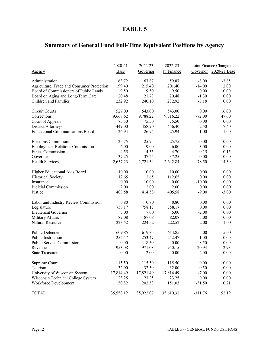# **Summary of General Fund Full-Time Equivalent Positions by Agency**

|                                            | 2020-21     | 2022-23   | 2022-23     |           | Joint Finance Change to: |
|--------------------------------------------|-------------|-----------|-------------|-----------|--------------------------|
| <u>Agency</u>                              | <b>Base</b> | Governor  | Jt. Finance |           | Governor 2020-21 Base    |
| Administration                             | 63.72       | 67.87     | 59.87       | $-8.00$   | $-3.85$                  |
| Agriculture, Trade and Consumer Protection | 199.40      | 215.40    | 201.40      | $-14.00$  | 2.00                     |
| Board of Commissioners of Public Lands     | 9.50        | 9.50      | 9.50        | 0.00      | 0.00                     |
| Board on Aging and Long-Term Care          | 20.48       | 21.78     | 20.48       | $-1.30$   | 0.00                     |
| <b>Children</b> and Families               | 232.92      | 240.10    | 232.92      | $-7.18$   | 0.00                     |
| Circuit Courts                             | 527.00      | 543.00    | 543.00      | 0.00      | 16.00                    |
| Corrections                                | 9,668.62    | 9,788.22  | 9,716.22    | $-72.00$  | 47.60                    |
| Court of Appeals                           | 75.50       | 75.50     | 75.50       | 0.00      | 0.00                     |
| <b>District Attorneys</b>                  | 449.00      | 458.90    | 456.40      | $-2.50$   | 7.40                     |
| <b>Educational Communications Board</b>    | 26.94       | 26.94     | 25.94       | $-1.00$   | $-1.00$                  |
| <b>Elections Commission</b>                | 25.75       | 25.75     | 25.75       | 0.00      | 0.00                     |
| <b>Employment Relations Commission</b>     | 6.00        | 9.00      | 6.00        | $-3.00$   | 0.00                     |
| <b>Ethics Commission</b>                   | 4.55        | 4.55      | 4.70        | 0.15      | 0.15                     |
| Governor                                   | 37.25       | 37.25     | 37.25       | 0.00      | 0.00                     |
| <b>Health Services</b>                     | 2,657.23    | 2,721.34  | 2,642.84    | $-78.50$  | $-14.39$                 |
| Higher Educational Aids Board              | 10.00       | 10.00     | 10.00       | 0.00      | 0.00                     |
| <b>Historical Society</b>                  | 112.65      | 112.65    | 112.65      | 0.00      | 0.00                     |
| Insurance                                  | 0.00        | 10.00     | 0.00        | $-10.00$  | 0.00                     |
| Judicial Commission                        | 2.00        | 2.00      | 2.00        | 0.00      | 0.00                     |
| Justice                                    | 408.58      | 414.58    | 405.58      | $-9.00$   | $-3.00$                  |
| Labor and Industry Review Commission       | 0.80        | 0.80      | 0.80        | 0.00      | 0.00                     |
| Legislature                                | 758.17      | 758.17    | 758.17      | 0.00      | 0.00                     |
| Lieutenant Governor                        | 5.00        | 7.00      | 5.00        | $-2.00$   | 0.00                     |
| Military Affairs                           | 82.08       | 87.08     | 82.08       | $-5.00$   | 0.00                     |
| <b>Natural Resources</b>                   | 223.52      | 224.52    | 222.52      | $-2.00$   | $-1.00$                  |
| Public Defender                            | 609.85      | 619.85    | 614.85      | $-5.00$   | 5.00                     |
| Public Instruction                         | 252.47      | 253.47    | 252.47      | $-1.00$   | 0.00                     |
| <b>Public Service Commission</b>           | 0.00        | 8.50      | 0.00        | $-8.50$   | 0.00                     |
| Revenue                                    | 953.08      | 971.08    | 950.15      | $-20.93$  | $-2.93$                  |
| <b>State Treasurer</b>                     | 0.00        | 2.00      | 0.00        | $-2.00$   | 0.00                     |
| Supreme Court                              | 115.50      | 115.50    | 115.50      | 0.00      | 0.00                     |
| Tourism                                    | 32.00       | 32.50     | 32.00       | $-0.50$   | 0.00                     |
| University of Wisconsin System             | 17,814.49   | 17,821.49 | 17,814.49   | $-7.00$   | 0.00                     |
| Wisconsin Technical College System         | 23.25       | 23.25     | 23.25       | 0.00      | 0.00                     |
| Workforce Development                      | 150.82      | 202.53    | 151.03      | $-51.50$  | 0.21                     |
| <b>TOTAL</b>                               | 35,558.12   | 35,922.07 | 35,610.31   | $-311.76$ | 52.19                    |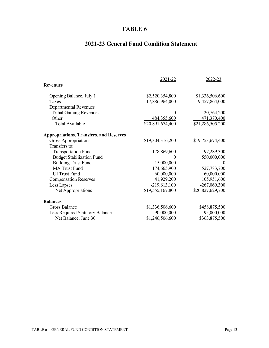## **2021-23 General Fund Condition Statement**

|                                                | <u>2021-22</u>   | 2022-23          |
|------------------------------------------------|------------------|------------------|
| <b>Revenues</b>                                |                  |                  |
| Opening Balance, July 1                        | \$2,520,354,800  | \$1,336,506,600  |
| Taxes                                          | 17,886,964,000   | 19,457,864,000   |
| <b>Departmental Revenues</b>                   |                  |                  |
| <b>Tribal Gaming Revenues</b>                  |                  | 20,764,200       |
| Other                                          | 484,355,600      | 471,370,400      |
| <b>Total Available</b>                         | \$20,891,674,400 | \$21,286,505,200 |
| <b>Appropriations, Transfers, and Reserves</b> |                  |                  |
| <b>Gross Appropriations</b>                    | \$19,304,316,200 | \$19,753,674,400 |
| Transfers to:                                  |                  |                  |
| <b>Transportation Fund</b>                     | 178,869,600      | 97,289,300       |
| <b>Budget Stabilization Fund</b>               |                  | 550,000,000      |
| <b>Building Trust Fund</b>                     | 15,000,000       | $\Omega$         |
| <b>MA Trust Fund</b>                           | 174,665,900      | 527,783,700      |
| <b>UI</b> Trust Fund                           | 60,000,000       | 60,000,000       |
| <b>Compensation Reserves</b>                   | 41,929,200       | 105,951,600      |
| Less Lapses                                    | $-219,613,100$   | $-267,069,300$   |
| Net Appropriations                             | \$19,555,167,800 | \$20,827,629,700 |
| <b>Balances</b>                                |                  |                  |
| <b>Gross Balance</b>                           | \$1,336,506,600  | \$458,875,500    |
| <b>Less Required Statutory Balance</b>         | $-90,000,000$    | $-95,000,000$    |
| Net Balance, June 30                           | \$1,246,506,600  | \$363,875,500    |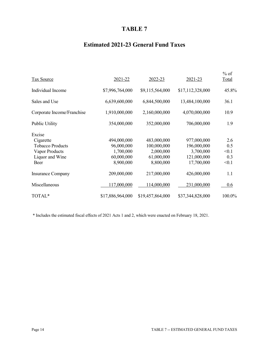# **Estimated 2021-23 General Fund Taxes**

| <b>Tax Source</b>          | 2021-22          | 2022-23          | $2021 - 23$      | $%$ of<br><b>Total</b> |
|----------------------------|------------------|------------------|------------------|------------------------|
| Individual Income          | \$7,996,764,000  | \$9,115,564,000  | \$17,112,328,000 | 45.8%                  |
| Sales and Use              | 6,639,600,000    | 6,844,500,000    | 13,484,100,000   | 36.1                   |
| Corporate Income/Franchise | 1,910,000,000    | 2,160,000,000    | 4,070,000,000    | 10.9                   |
| Public Utility             | 354,000,000      | 352,000,000      | 706,000,000      | 1.9                    |
| Excise                     |                  |                  |                  |                        |
| Cigarette                  | 494,000,000      | 483,000,000      | 977,000,000      | 2.6                    |
| <b>Tobacco Products</b>    | 96,000,000       | 100,000,000      | 196,000,000      | 0.5                    |
| Vapor Products             | 1,700,000        | 2,000,000        | 3,700,000        | < 0.1                  |
| Liquor and Wine            | 60,000,000       | 61,000,000       | 121,000,000      | 0.3                    |
| Beer                       | 8,900,000        | 8,800,000        | 17,700,000       | < 0.1                  |
| <b>Insurance Company</b>   | 209,000,000      | 217,000,000      | 426,000,000      | 1.1                    |
| Miscellaneous              | 117,000,000      | 114,000,000      | 231,000,000      | 0.6                    |
| TOTAL*                     | \$17,886,964,000 | \$19,457,864,000 | \$37,344,828,000 | 100.0%                 |

\* Includes the estimated fiscal effects of 2021 Acts 1 and 2, which were enacted on February 18, 2021.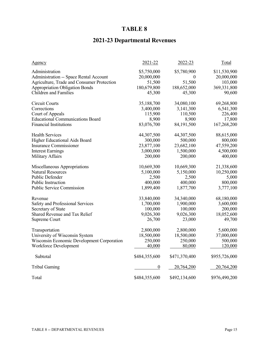# **2021-23 Departmental Revenues**

| <u>Agency</u>                              | 2021-22          | 2022-23        | Total         |
|--------------------------------------------|------------------|----------------|---------------|
| Administration                             | \$5,750,000      | \$5,780,900    | \$11,530,900  |
| Administration -- Space Rental Account     | 20,000,000       | $\overline{0}$ | 20,000,000    |
| Agriculture, Trade and Consumer Protection | 51,500           | 51,500         | 103,000       |
| <b>Appropriation Obligation Bonds</b>      | 180,679,800      | 188,652,000    | 369,331,800   |
| <b>Children</b> and Families               | 45,300           | 45,300         | 90,600        |
| Circuit Courts                             | 35,188,700       | 34,080,100     | 69,268,800    |
| Corrections                                | 3,400,000        | 3,141,300      | 6,541,300     |
| Court of Appeals                           | 115,900          | 110,500        | 226,400       |
| <b>Educational Communications Board</b>    | 8,900            | 8,900          | 17,800        |
| <b>Financial Institutions</b>              | 83,076,700       | 84,191,500     | 167,268,200   |
| <b>Health Services</b>                     | 44,307,500       | 44,307,500     | 88,615,000    |
| Higher Educational Aids Board              | 300,000          | 500,000        | 800,000       |
| Insurance Commissioner                     | 23,877,100       | 23,682,100     | 47,559,200    |
| <b>Interest Earnings</b>                   | 3,000,000        | 1,500,000      | 4,500,000     |
| Military Affairs                           | 200,000          | 200,000        | 400,000       |
| Miscellaneous Appropriations               | 10,669,300       | 10,669,300     | 21,338,600    |
| <b>Natural Resources</b>                   | 5,100,000        | 5,150,000      | 10,250,000    |
| Public Defender                            | 2,500            | 2,500          | 5,000         |
| Public Instruction                         | 400,000          | 400,000        | 800,000       |
| <b>Public Service Commission</b>           | 1,899,400        | 1,877,700      | 3,777,100     |
| Revenue                                    | 33,840,000       | 34,340,000     | 68,180,000    |
| Safety and Professional Services           | 1,700,000        | 1,900,000      | 3,600,000     |
| Secretary of State                         | 100,000          | 100,000        | 200,000       |
| Shared Revenue and Tax Relief              | 9,026,300        | 9,026,300      | 18,052,600    |
| Supreme Court                              | 26,700           | 23,000         | 49,700        |
| Transportation                             | 2,800,000        | 2,800,000      | 5,600,000     |
| University of Wisconsin System             | 18,500,000       | 18,500,000     | 37,000,000    |
| Wisconsin Economic Development Corporation | 250,000          | 250,000        | 500,000       |
| Workforce Development                      | 40,000           | 80,000         | 120,000       |
| Subtotal                                   | \$484,355,600    | \$471,370,400  | \$955,726,000 |
| <b>Tribal Gaming</b>                       | $\boldsymbol{0}$ | 20,764,200     | 20,764,200    |
| Total                                      | \$484,355,600    | \$492,134,600  | \$976,490,200 |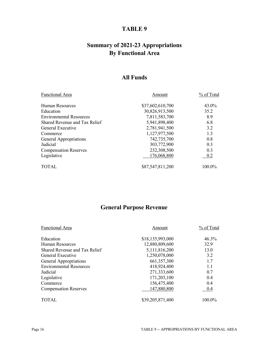# **Summary of 2021-23 Appropriations By Functional Area**

## **All Funds**

| Functional Area                | Amount           | % of Total |
|--------------------------------|------------------|------------|
| Human Resources                | \$37,602,610,700 | 43.0%      |
| Education                      | 30,826,913,500   | 35.2       |
| <b>Environmental Resources</b> | 7,811,583,700    | 8.9        |
| Shared Revenue and Tax Relief  | 5,941,898,400    | 6.8        |
| General Executive              | 2,781,941,500    | 3.2        |
| Commerce                       | 1,127,977,500    | 1.3        |
| General Appropriations         | 742,735,700      | 0.8        |
| Judicial                       | 303,772,900      | 0.3        |
| <b>Compensation Reserves</b>   | 232,308,500      | 0.3        |
| Legislative                    | 176,068,800      | 0.2        |
| <b>TOTAL</b>                   | \$87,547,811,200 | 100.0%     |

# **General Purpose Revenue**

| Functional Area                | Amount           | % of Total |
|--------------------------------|------------------|------------|
| Education                      | \$18,135,993,000 | 46.3%      |
| Human Resources                | 12,880,809,600   | 32.9       |
| Shared Revenue and Tax Relief  | 5,111,816,200    | 13.0       |
| General Executive              | 1,250,078,000    | 3.2        |
| General Appropriations         | 661, 357, 300    | 1.7        |
| <b>Environmental Resources</b> | 418,924,400      | 1.1        |
| Judicial                       | 271,333,600      | 0.7        |
| Legislative                    | 171,203,100      | 0.4        |
| Commerce                       | 156,475,400      | 0.4        |
| <b>Compensation Reserves</b>   | 147,880,800      | 0.4        |
| <b>TOTAL</b>                   | \$39,205,871,400 | 100.0%     |